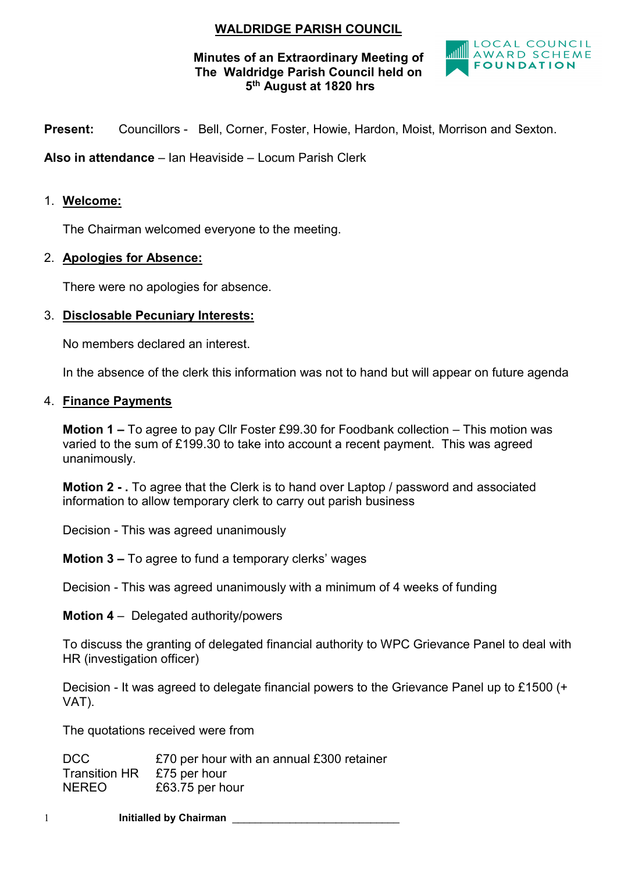# WALDRIDGE PARISH COUNCIL

### Minutes of an Extraordinary Meeting of The Waldridge Parish Council held on 5th August at 1820 hrs



Present: Councillors - Bell, Corner, Foster, Howie, Hardon, Moist, Morrison and Sexton.

Also in attendance – Ian Heaviside – Locum Parish Clerk

#### 1. Welcome:

The Chairman welcomed everyone to the meeting.

#### 2. Apologies for Absence:

There were no apologies for absence.

#### 3. Disclosable Pecuniary Interests:

No members declared an interest.

In the absence of the clerk this information was not to hand but will appear on future agenda

#### 4. Finance Payments

Motion 1 – To agree to pay Cllr Foster £99.30 for Foodbank collection – This motion was varied to the sum of £199.30 to take into account a recent payment. This was agreed unanimously.

Motion 2 - . To agree that the Clerk is to hand over Laptop / password and associated information to allow temporary clerk to carry out parish business

Decision - This was agreed unanimously

Motion 3 – To agree to fund a temporary clerks' wages

Decision - This was agreed unanimously with a minimum of 4 weeks of funding

Motion 4 – Delegated authority/powers

To discuss the granting of delegated financial authority to WPC Grievance Panel to deal with HR (investigation officer)

Decision - It was agreed to delegate financial powers to the Grievance Panel up to £1500 (+ VAT).

The quotations received were from

DCC E70 per hour with an annual £300 retainer Transition HR £75 per hour NEREO £63.75 per hour

1 **Initialled by Chairman**